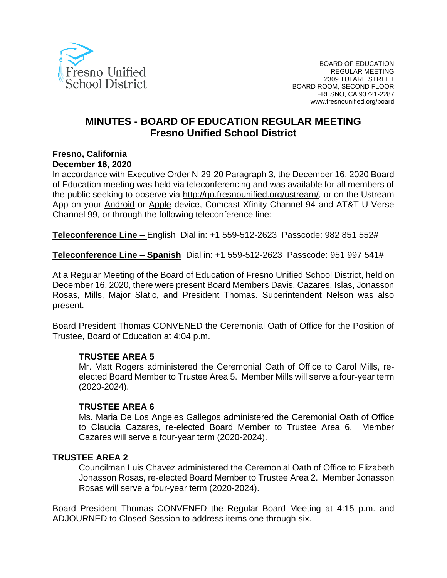

# **MINUTES - BOARD OF EDUCATION REGULAR MEETING Fresno Unified School District**

#### **Fresno, California December 16, 2020**

In accordance with Executive Order N-29-20 Paragraph 3, the December 16, 2020 Board of Education meeting was held via teleconferencing and was available for all members of the public seeking to observe via [http://go.fresnounified.org/ustream/,](http://go.fresnounified.org/ustream/) or on the Ustream App on your [Android](https://play.google.com/store/apps/details?id=tv.ustream.ustream&hl=en_US) or [Apple](https://itunes.apple.com/us/app/ustream/id301520250?mt=8) device, Comcast Xfinity Channel 94 and AT&T U-Verse Channel 99, or through the following teleconference line:

**Teleconference Line –** English Dial in: +1 559-512-2623 Passcode: 982 851 552#

**Teleconference Line – Spanish** Dial in: +1 559-512-2623 Passcode: 951 997 541#

At a Regular Meeting of the Board of Education of Fresno Unified School District, held on December 16, 2020, there were present Board Members Davis, Cazares, Islas, Jonasson Rosas, Mills, Major Slatic, and President Thomas. Superintendent Nelson was also present.

Board President Thomas CONVENED the Ceremonial Oath of Office for the Position of Trustee, Board of Education at 4:04 p.m.

#### **TRUSTEE AREA 5**

Mr. Matt Rogers administered the Ceremonial Oath of Office to Carol Mills, reelected Board Member to Trustee Area 5. Member Mills will serve a four-year term (2020-2024).

#### **TRUSTEE AREA 6**

Ms. Maria De Los Angeles Gallegos administered the Ceremonial Oath of Office to Claudia Cazares, re-elected Board Member to Trustee Area 6. Member Cazares will serve a four-year term (2020-2024).

#### **TRUSTEE AREA 2**

Councilman Luis Chavez administered the Ceremonial Oath of Office to Elizabeth Jonasson Rosas, re-elected Board Member to Trustee Area 2. Member Jonasson Rosas will serve a four-year term (2020-2024).

Board President Thomas CONVENED the Regular Board Meeting at 4:15 p.m. and ADJOURNED to Closed Session to address items one through six.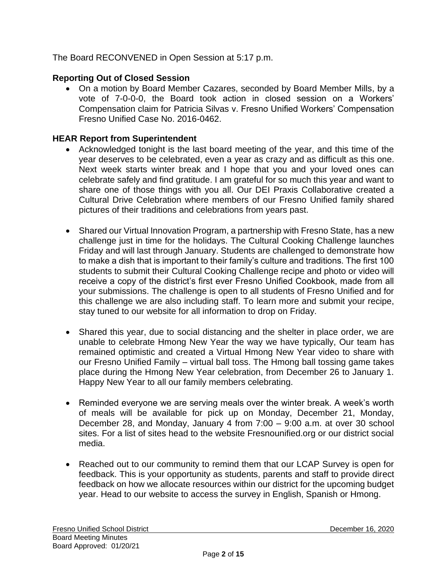The Board RECONVENED in Open Session at 5:17 p.m.

### **Reporting Out of Closed Session**

• On a motion by Board Member Cazares, seconded by Board Member Mills, by a vote of 7-0-0-0, the Board took action in closed session on a Workers' Compensation claim for Patricia Silvas v. Fresno Unified Workers' Compensation Fresno Unified Case No. 2016-0462.

### **HEAR Report from Superintendent**

- Acknowledged tonight is the last board meeting of the year, and this time of the year deserves to be celebrated, even a year as crazy and as difficult as this one. Next week starts winter break and I hope that you and your loved ones can celebrate safely and find gratitude. I am grateful for so much this year and want to share one of those things with you all. Our DEI Praxis Collaborative created a Cultural Drive Celebration where members of our Fresno Unified family shared pictures of their traditions and celebrations from years past.
- Shared our Virtual Innovation Program, a partnership with Fresno State, has a new challenge just in time for the holidays. The Cultural Cooking Challenge launches Friday and will last through January. Students are challenged to demonstrate how to make a dish that is important to their family's culture and traditions. The first 100 students to submit their Cultural Cooking Challenge recipe and photo or video will receive a copy of the district's first ever Fresno Unified Cookbook, made from all your submissions. The challenge is open to all students of Fresno Unified and for this challenge we are also including staff. To learn more and submit your recipe, stay tuned to our website for all information to drop on Friday.
- Shared this year, due to social distancing and the shelter in place order, we are unable to celebrate Hmong New Year the way we have typically, Our team has remained optimistic and created a Virtual Hmong New Year video to share with our Fresno Unified Family – virtual ball toss. The Hmong ball tossing game takes place during the Hmong New Year celebration, from December 26 to January 1. Happy New Year to all our family members celebrating.
- Reminded everyone we are serving meals over the winter break. A week's worth of meals will be available for pick up on Monday, December 21, Monday, December 28, and Monday, January 4 from 7:00 – 9:00 a.m. at over 30 school sites. For a list of sites head to the website Fresnounified.org or our district social media.
- Reached out to our community to remind them that our LCAP Survey is open for feedback. This is your opportunity as students, parents and staff to provide direct feedback on how we allocate resources within our district for the upcoming budget year. Head to our website to access the survey in English, Spanish or Hmong.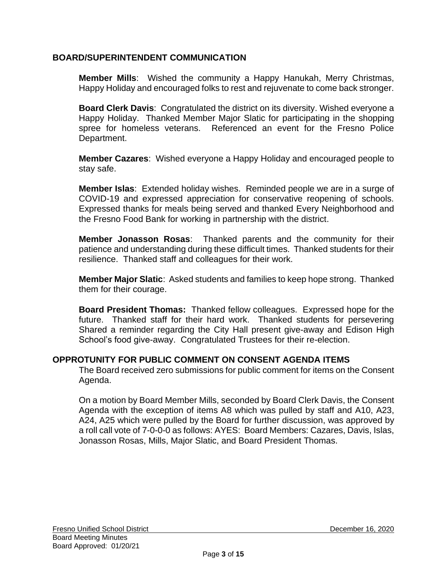### **BOARD/SUPERINTENDENT COMMUNICATION**

**Member Mills**: Wished the community a Happy Hanukah, Merry Christmas, Happy Holiday and encouraged folks to rest and rejuvenate to come back stronger.

**Board Clerk Davis**: Congratulated the district on its diversity. Wished everyone a Happy Holiday. Thanked Member Major Slatic for participating in the shopping spree for homeless veterans. Referenced an event for the Fresno Police Department.

**Member Cazares**:Wished everyone a Happy Holiday and encouraged people to stay safe.

**Member Islas**: Extended holiday wishes. Reminded people we are in a surge of COVID-19 and expressed appreciation for conservative reopening of schools. Expressed thanks for meals being served and thanked Every Neighborhood and the Fresno Food Bank for working in partnership with the district.

**Member Jonasson Rosas**: Thanked parents and the community for their patience and understanding during these difficult times. Thanked students for their resilience. Thanked staff and colleagues for their work.

**Member Major Slatic**: Asked students and families to keep hope strong. Thanked them for their courage.

**Board President Thomas:** Thanked fellow colleagues. Expressed hope for the future. Thanked staff for their hard work. Thanked students for persevering Shared a reminder regarding the City Hall present give-away and Edison High School's food give-away. Congratulated Trustees for their re-election.

#### **OPPROTUNITY FOR PUBLIC COMMENT ON CONSENT AGENDA ITEMS**

The Board received zero submissions for public comment for items on the Consent Agenda.

On a motion by Board Member Mills, seconded by Board Clerk Davis, the Consent Agenda with the exception of items A8 which was pulled by staff and A10, A23, A24, A25 which were pulled by the Board for further discussion, was approved by a roll call vote of 7-0-0-0 as follows: AYES: Board Members: Cazares, Davis, Islas, Jonasson Rosas, Mills, Major Slatic, and Board President Thomas.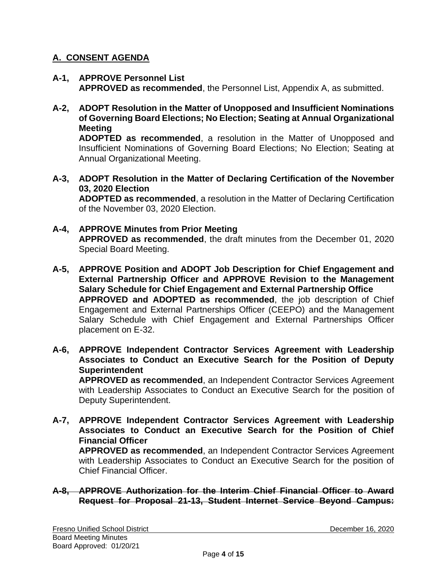### **A. CONSENT AGENDA**

- **A-1, APPROVE Personnel List APPROVED as recommended**, the Personnel List, Appendix A, as submitted.
- **A-2, ADOPT Resolution in the Matter of Unopposed and Insufficient Nominations of Governing Board Elections; No Election; Seating at Annual Organizational Meeting**

**ADOPTED as recommended**, a resolution in the Matter of Unopposed and Insufficient Nominations of Governing Board Elections; No Election; Seating at Annual Organizational Meeting.

**A-3, ADOPT Resolution in the Matter of Declaring Certification of the November 03, 2020 Election ADOPTED as recommended**, a resolution in the Matter of Declaring Certification

of the November 03, 2020 Election.

- **A-4, APPROVE Minutes from Prior Meeting APPROVED as recommended**, the draft minutes from the December 01, 2020 Special Board Meeting.
- **A-5, APPROVE Position and ADOPT Job Description for Chief Engagement and External Partnership Officer and APPROVE Revision to the Management Salary Schedule for Chief Engagement and External Partnership Office APPROVED and ADOPTED as recommended**, the job description of Chief Engagement and External Partnerships Officer (CEEPO) and the Management Salary Schedule with Chief Engagement and External Partnerships Officer placement on E-32.
- **A-6, APPROVE Independent Contractor Services Agreement with Leadership Associates to Conduct an Executive Search for the Position of Deputy Superintendent APPROVED as recommended**, an Independent Contractor Services Agreement

with Leadership Associates to Conduct an Executive Search for the position of Deputy Superintendent.

**A-7, APPROVE Independent Contractor Services Agreement with Leadership Associates to Conduct an Executive Search for the Position of Chief Financial Officer APPROVED as recommended**, an Independent Contractor Services Agreement

with Leadership Associates to Conduct an Executive Search for the position of Chief Financial Officer.

### **A-8, APPROVE Authorization for the Interim Chief Financial Officer to Award Request for Proposal 21-13, Student Internet Service Beyond Campus:**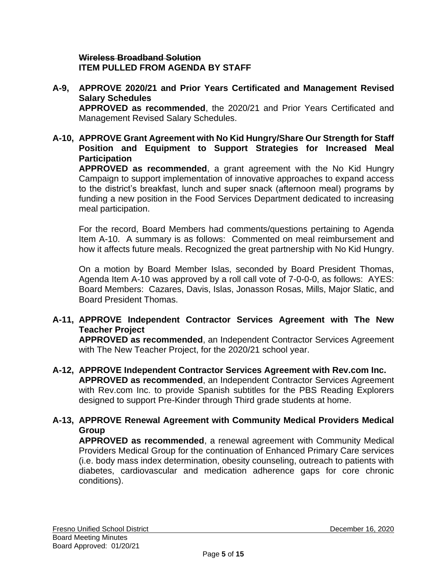#### **Wireless Broadband Solution ITEM PULLED FROM AGENDA BY STAFF**

- **A-9, APPROVE 2020/21 and Prior Years Certificated and Management Revised Salary Schedules APPROVED as recommended**, the 2020/21 and Prior Years Certificated and Management Revised Salary Schedules.
- **A-10, APPROVE Grant Agreement with No Kid Hungry/Share Our Strength for Staff Position and Equipment to Support Strategies for Increased Meal Participation**

**APPROVED as recommended**, a grant agreement with the No Kid Hungry Campaign to support implementation of innovative approaches to expand access to the district's breakfast, lunch and super snack (afternoon meal) programs by funding a new position in the Food Services Department dedicated to increasing meal participation.

For the record, Board Members had comments/questions pertaining to Agenda Item A-10. A summary is as follows: Commented on meal reimbursement and how it affects future meals. Recognized the great partnership with No Kid Hungry.

On a motion by Board Member Islas, seconded by Board President Thomas, Agenda Item A-10 was approved by a roll call vote of 7-0-0-0, as follows: AYES: Board Members: Cazares, Davis, Islas, Jonasson Rosas, Mills, Major Slatic, and Board President Thomas.

### **A-11, APPROVE Independent Contractor Services Agreement with The New Teacher Project**

**APPROVED as recommended**, an Independent Contractor Services Agreement with The New Teacher Project, for the 2020/21 school year.

- **A-12, APPROVE Independent Contractor Services Agreement with Rev.com Inc. APPROVED as recommended**, an Independent Contractor Services Agreement with Rev.com Inc. to provide Spanish subtitles for the PBS Reading Explorers designed to support Pre-Kinder through Third grade students at home.
- **A-13, APPROVE Renewal Agreement with Community Medical Providers Medical Group**

**APPROVED as recommended**, a renewal agreement with Community Medical Providers Medical Group for the continuation of Enhanced Primary Care services (i.e. body mass index determination, obesity counseling, outreach to patients with diabetes, cardiovascular and medication adherence gaps for core chronic conditions).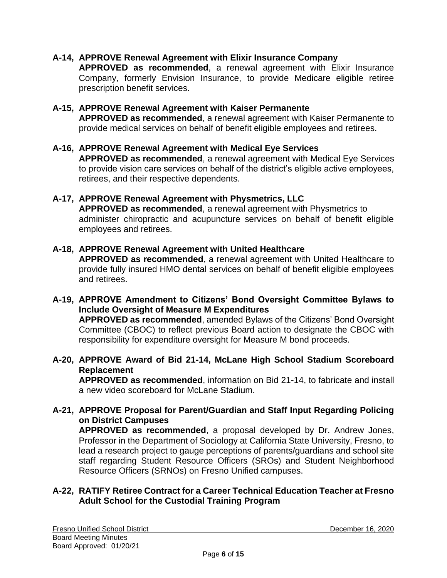### **A-14, APPROVE Renewal Agreement with Elixir Insurance Company**

**APPROVED as recommended**, a renewal agreement with Elixir Insurance Company, formerly Envision Insurance, to provide Medicare eligible retiree prescription benefit services.

#### **A-15, APPROVE Renewal Agreement with Kaiser Permanente**

**APPROVED as recommended**, a renewal agreement with Kaiser Permanente to provide medical services on behalf of benefit eligible employees and retirees.

#### **A-16, APPROVE Renewal Agreement with Medical Eye Services APPROVED as recommended**, a renewal agreement with Medical Eye Services to provide vision care services on behalf of the district's eligible active employees, retirees, and their respective dependents.

#### **A-17, APPROVE Renewal Agreement with Physmetrics, LLC APPROVED as recommended**, a renewal agreement with Physmetrics to administer chiropractic and acupuncture services on behalf of benefit eligible employees and retirees.

### **A-18, APPROVE Renewal Agreement with United Healthcare APPROVED as recommended**, a renewal agreement with United Healthcare to provide fully insured HMO dental services on behalf of benefit eligible employees and retirees.

#### **A-19, APPROVE Amendment to Citizens' Bond Oversight Committee Bylaws to Include Oversight of Measure M Expenditures APPROVED as recommended**, amended Bylaws of the Citizens' Bond Oversight Committee (CBOC) to reflect previous Board action to designate the CBOC with responsibility for expenditure oversight for Measure M bond proceeds.

#### **A-20, APPROVE Award of Bid 21-14, McLane High School Stadium Scoreboard Replacement**

**APPROVED as recommended**, information on Bid 21-14, to fabricate and install a new video scoreboard for McLane Stadium.

## **A-21, APPROVE Proposal for Parent/Guardian and Staff Input Regarding Policing on District Campuses**

**APPROVED as recommended**, a proposal developed by Dr. Andrew Jones, Professor in the Department of Sociology at California State University, Fresno, to lead a research project to gauge perceptions of parents/guardians and school site staff regarding Student Resource Officers (SROs) and Student Neighborhood Resource Officers (SRNOs) on Fresno Unified campuses.

#### **A-22, RATIFY Retiree Contract for a Career Technical Education Teacher at Fresno Adult School for the Custodial Training Program**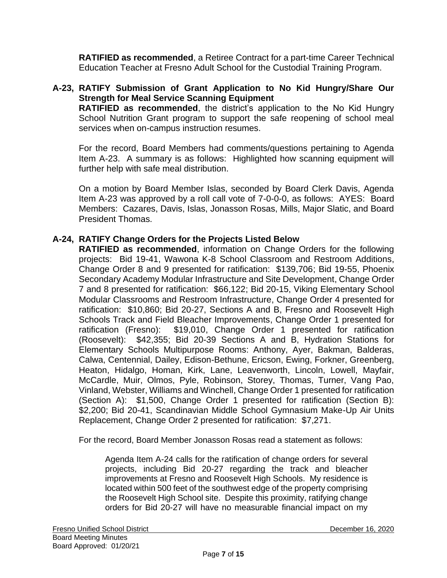**RATIFIED as recommended**, a Retiree Contract for a part-time Career Technical Education Teacher at Fresno Adult School for the Custodial Training Program.

### **A-23, RATIFY Submission of Grant Application to No Kid Hungry/Share Our Strength for Meal Service Scanning Equipment RATIFIED as recommended**, the district's application to the No Kid Hungry

School Nutrition Grant program to support the safe reopening of school meal services when on-campus instruction resumes.

For the record, Board Members had comments/questions pertaining to Agenda Item A-23. A summary is as follows: Highlighted how scanning equipment will further help with safe meal distribution.

On a motion by Board Member Islas, seconded by Board Clerk Davis, Agenda Item A-23 was approved by a roll call vote of 7-0-0-0, as follows: AYES: Board Members: Cazares, Davis, Islas, Jonasson Rosas, Mills, Major Slatic, and Board President Thomas.

### **A-24, RATIFY Change Orders for the Projects Listed Below**

**RATIFIED as recommended**, information on Change Orders for the following projects: Bid 19-41, Wawona K-8 School Classroom and Restroom Additions, Change Order 8 and 9 presented for ratification: \$139,706; Bid 19-55, Phoenix Secondary Academy Modular Infrastructure and Site Development, Change Order 7 and 8 presented for ratification: \$66,122; Bid 20-15, Viking Elementary School Modular Classrooms and Restroom Infrastructure, Change Order 4 presented for ratification: \$10,860; Bid 20-27, Sections A and B, Fresno and Roosevelt High Schools Track and Field Bleacher Improvements, Change Order 1 presented for ratification (Fresno): \$19,010, Change Order 1 presented for ratification (Roosevelt): \$42,355; Bid 20-39 Sections A and B, Hydration Stations for Elementary Schools Multipurpose Rooms: Anthony, Ayer, Bakman, Balderas, Calwa, Centennial, Dailey, Edison-Bethune, Ericson, Ewing, Forkner, Greenberg, Heaton, Hidalgo, Homan, Kirk, Lane, Leavenworth, Lincoln, Lowell, Mayfair, McCardle, Muir, Olmos, Pyle, Robinson, Storey, Thomas, Turner, Vang Pao, Vinland, Webster, Williams and Winchell, Change Order 1 presented for ratification (Section A): \$1,500, Change Order 1 presented for ratification (Section B): \$2,200; Bid 20-41, Scandinavian Middle School Gymnasium Make-Up Air Units Replacement, Change Order 2 presented for ratification: \$7,271.

For the record, Board Member Jonasson Rosas read a statement as follows:

Agenda Item A-24 calls for the ratification of change orders for several projects, including Bid 20-27 regarding the track and bleacher improvements at Fresno and Roosevelt High Schools. My residence is located within 500 feet of the southwest edge of the property comprising the Roosevelt High School site. Despite this proximity, ratifying change orders for Bid 20-27 will have no measurable financial impact on my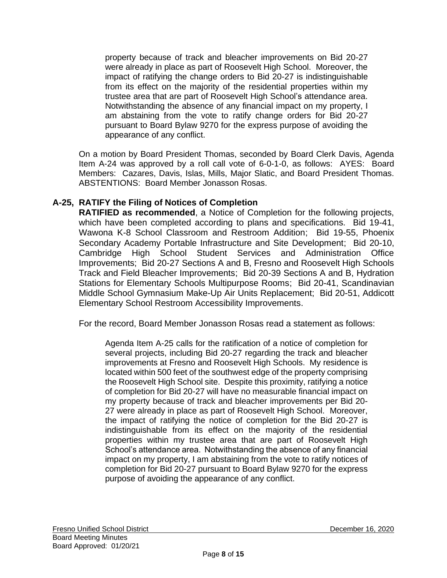property because of track and bleacher improvements on Bid 20-27 were already in place as part of Roosevelt High School. Moreover, the impact of ratifying the change orders to Bid 20-27 is indistinguishable from its effect on the majority of the residential properties within my trustee area that are part of Roosevelt High School's attendance area. Notwithstanding the absence of any financial impact on my property, I am abstaining from the vote to ratify change orders for Bid 20-27 pursuant to Board Bylaw 9270 for the express purpose of avoiding the appearance of any conflict.

On a motion by Board President Thomas, seconded by Board Clerk Davis, Agenda Item A-24 was approved by a roll call vote of 6-0-1-0, as follows: AYES: Board Members: Cazares, Davis, Islas, Mills, Major Slatic, and Board President Thomas. ABSTENTIONS: Board Member Jonasson Rosas.

### **A-25, RATIFY the Filing of Notices of Completion**

**RATIFIED as recommended**, a Notice of Completion for the following projects, which have been completed according to plans and specifications. Bid 19-41, Wawona K-8 School Classroom and Restroom Addition; Bid 19-55, Phoenix Secondary Academy Portable Infrastructure and Site Development; Bid 20-10, Cambridge High School Student Services and Administration Office Improvements; Bid 20-27 Sections A and B, Fresno and Roosevelt High Schools Track and Field Bleacher Improvements; Bid 20-39 Sections A and B, Hydration Stations for Elementary Schools Multipurpose Rooms; Bid 20-41, Scandinavian Middle School Gymnasium Make-Up Air Units Replacement; Bid 20-51, Addicott Elementary School Restroom Accessibility Improvements.

For the record, Board Member Jonasson Rosas read a statement as follows:

Agenda Item A-25 calls for the ratification of a notice of completion for several projects, including Bid 20-27 regarding the track and bleacher improvements at Fresno and Roosevelt High Schools. My residence is located within 500 feet of the southwest edge of the property comprising the Roosevelt High School site. Despite this proximity, ratifying a notice of completion for Bid 20-27 will have no measurable financial impact on my property because of track and bleacher improvements per Bid 20- 27 were already in place as part of Roosevelt High School. Moreover, the impact of ratifying the notice of completion for the Bid 20-27 is indistinguishable from its effect on the majority of the residential properties within my trustee area that are part of Roosevelt High School's attendance area. Notwithstanding the absence of any financial impact on my property, I am abstaining from the vote to ratify notices of completion for Bid 20-27 pursuant to Board Bylaw 9270 for the express purpose of avoiding the appearance of any conflict.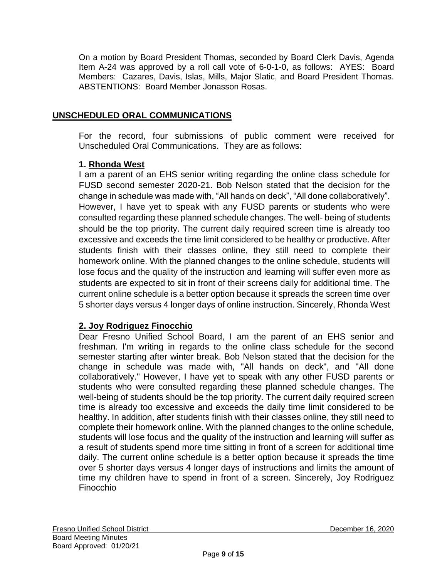On a motion by Board President Thomas, seconded by Board Clerk Davis, Agenda Item A-24 was approved by a roll call vote of 6-0-1-0, as follows: AYES: Board Members: Cazares, Davis, Islas, Mills, Major Slatic, and Board President Thomas. ABSTENTIONS: Board Member Jonasson Rosas.

### **UNSCHEDULED ORAL COMMUNICATIONS**

For the record, four submissions of public comment were received for Unscheduled Oral Communications. They are as follows:

### **1. Rhonda West**

I am a parent of an EHS senior writing regarding the online class schedule for FUSD second semester 2020-21. Bob Nelson stated that the decision for the change in schedule was made with, "All hands on deck", "All done collaboratively". However, I have yet to speak with any FUSD parents or students who were consulted regarding these planned schedule changes. The well- being of students should be the top priority. The current daily required screen time is already too excessive and exceeds the time limit considered to be healthy or productive. After students finish with their classes online, they still need to complete their homework online. With the planned changes to the online schedule, students will lose focus and the quality of the instruction and learning will suffer even more as students are expected to sit in front of their screens daily for additional time. The current online schedule is a better option because it spreads the screen time over 5 shorter days versus 4 longer days of online instruction. Sincerely, Rhonda West

### **2. Joy Rodriguez Finocchio**

Dear Fresno Unified School Board, I am the parent of an EHS senior and freshman. I'm writing in regards to the online class schedule for the second semester starting after winter break. Bob Nelson stated that the decision for the change in schedule was made with, "All hands on deck", and "All done collaboratively." However, I have yet to speak with any other FUSD parents or students who were consulted regarding these planned schedule changes. The well-being of students should be the top priority. The current daily required screen time is already too excessive and exceeds the daily time limit considered to be healthy. In addition, after students finish with their classes online, they still need to complete their homework online. With the planned changes to the online schedule, students will lose focus and the quality of the instruction and learning will suffer as a result of students spend more time sitting in front of a screen for additional time daily. The current online schedule is a better option because it spreads the time over 5 shorter days versus 4 longer days of instructions and limits the amount of time my children have to spend in front of a screen. Sincerely, Joy Rodriguez Finocchio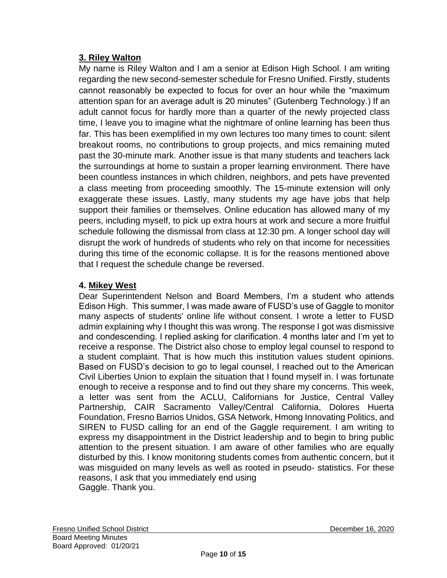## **3. Riley Walton**

My name is Riley Walton and I am a senior at Edison High School. I am writing regarding the new second-semester schedule for Fresno Unified. Firstly, students cannot reasonably be expected to focus for over an hour while the "maximum attention span for an average adult is 20 minutes" (Gutenberg Technology.) If an adult cannot focus for hardly more than a quarter of the newly projected class time, I leave you to imagine what the nightmare of online learning has been thus far. This has been exemplified in my own lectures too many times to count: silent breakout rooms, no contributions to group projects, and mics remaining muted past the 30-minute mark. Another issue is that many students and teachers lack the surroundings at home to sustain a proper learning environment. There have been countless instances in which children, neighbors, and pets have prevented a class meeting from proceeding smoothly. The 15-minute extension will only exaggerate these issues. Lastly, many students my age have jobs that help support their families or themselves. Online education has allowed many of my peers, including myself, to pick up extra hours at work and secure a more fruitful schedule following the dismissal from class at 12:30 pm. A longer school day will disrupt the work of hundreds of students who rely on that income for necessities during this time of the economic collapse. It is for the reasons mentioned above that I request the schedule change be reversed.

## **4. Mikey West**

Dear Superintendent Nelson and Board Members, I'm a student who attends Edison High. This summer, I was made aware of FUSD's use of Gaggle to monitor many aspects of students' online life without consent. I wrote a letter to FUSD admin explaining why I thought this was wrong. The response I got was dismissive and condescending. I replied asking for clarification. 4 months later and I'm yet to receive a response. The District also chose to employ legal counsel to respond to a student complaint. That is how much this institution values student opinions. Based on FUSD's decision to go to legal counsel, I reached out to the American Civil Liberties Union to explain the situation that I found myself in. I was fortunate enough to receive a response and to find out they share my concerns. This week, a letter was sent from the ACLU, Californians for Justice, Central Valley Partnership, CAIR Sacramento Valley/Central California, Dolores Huerta Foundation, Fresno Barrios Unidos, GSA Network, Hmong Innovating Politics, and SIREN to FUSD calling for an end of the Gaggle requirement. I am writing to express my disappointment in the District leadership and to begin to bring public attention to the present situation. I am aware of other families who are equally disturbed by this. I know monitoring students comes from authentic concern, but it was misguided on many levels as well as rooted in pseudo- statistics. For these reasons, I ask that you immediately end using Gaggle. Thank you.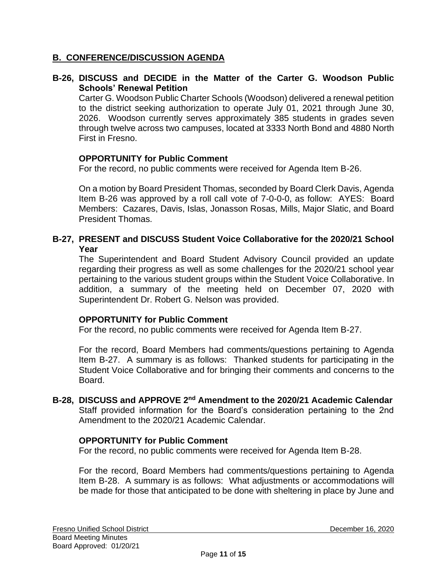### **B. CONFERENCE/DISCUSSION AGENDA**

#### **B-26, DISCUSS and DECIDE in the Matter of the Carter G. Woodson Public Schools' Renewal Petition**

Carter G. Woodson Public Charter Schools (Woodson) delivered a renewal petition to the district seeking authorization to operate July 01, 2021 through June 30, 2026. Woodson currently serves approximately 385 students in grades seven through twelve across two campuses, located at 3333 North Bond and 4880 North First in Fresno.

#### **OPPORTUNITY for Public Comment**

For the record, no public comments were received for Agenda Item B-26.

On a motion by Board President Thomas, seconded by Board Clerk Davis, Agenda Item B-26 was approved by a roll call vote of 7-0-0-0, as follow: AYES: Board Members: Cazares, Davis, Islas, Jonasson Rosas, Mills, Major Slatic, and Board President Thomas.

### **B-27, PRESENT and DISCUSS Student Voice Collaborative for the 2020/21 School Year**

The Superintendent and Board Student Advisory Council provided an update regarding their progress as well as some challenges for the 2020/21 school year pertaining to the various student groups within the Student Voice Collaborative. In addition, a summary of the meeting held on December 07, 2020 with Superintendent Dr. Robert G. Nelson was provided.

#### **OPPORTUNITY for Public Comment**

For the record, no public comments were received for Agenda Item B-27.

For the record, Board Members had comments/questions pertaining to Agenda Item B-27. A summary is as follows: Thanked students for participating in the Student Voice Collaborative and for bringing their comments and concerns to the Board.

#### **B-28, DISCUSS and APPROVE 2nd Amendment to the 2020/21 Academic Calendar** Staff provided information for the Board's consideration pertaining to the 2nd Amendment to the 2020/21 Academic Calendar.

#### **OPPORTUNITY for Public Comment**

For the record, no public comments were received for Agenda Item B-28.

For the record, Board Members had comments/questions pertaining to Agenda Item B-28. A summary is as follows: What adjustments or accommodations will be made for those that anticipated to be done with sheltering in place by June and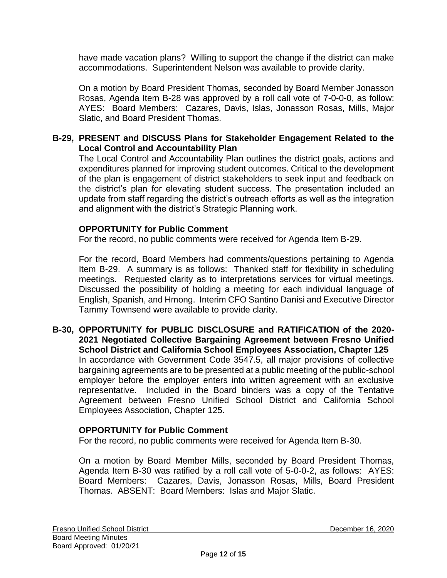have made vacation plans? Willing to support the change if the district can make accommodations. Superintendent Nelson was available to provide clarity.

On a motion by Board President Thomas, seconded by Board Member Jonasson Rosas, Agenda Item B-28 was approved by a roll call vote of 7-0-0-0, as follow: AYES: Board Members: Cazares, Davis, Islas, Jonasson Rosas, Mills, Major Slatic, and Board President Thomas.

#### **B-29, PRESENT and DISCUSS Plans for Stakeholder Engagement Related to the Local Control and Accountability Plan**

The Local Control and Accountability Plan outlines the district goals, actions and expenditures planned for improving student outcomes. Critical to the development of the plan is engagement of district stakeholders to seek input and feedback on the district's plan for elevating student success. The presentation included an update from staff regarding the district's outreach efforts as well as the integration and alignment with the district's Strategic Planning work.

#### **OPPORTUNITY for Public Comment**

For the record, no public comments were received for Agenda Item B-29.

For the record, Board Members had comments/questions pertaining to Agenda Item B-29. A summary is as follows: Thanked staff for flexibility in scheduling meetings. Requested clarity as to interpretations services for virtual meetings. Discussed the possibility of holding a meeting for each individual language of English, Spanish, and Hmong. Interim CFO Santino Danisi and Executive Director Tammy Townsend were available to provide clarity.

**B-30, OPPORTUNITY for PUBLIC DISCLOSURE and RATIFICATION of the 2020- 2021 Negotiated Collective Bargaining Agreement between Fresno Unified School District and California School Employees Association, Chapter 125** In accordance with Government Code 3547.5, all major provisions of collective bargaining agreements are to be presented at a public meeting of the public-school employer before the employer enters into written agreement with an exclusive representative. Included in the Board binders was a copy of the Tentative Agreement between Fresno Unified School District and California School Employees Association, Chapter 125.

### **OPPORTUNITY for Public Comment**

For the record, no public comments were received for Agenda Item B-30.

On a motion by Board Member Mills, seconded by Board President Thomas, Agenda Item B-30 was ratified by a roll call vote of 5-0-0-2, as follows: AYES: Board Members: Cazares, Davis, Jonasson Rosas, Mills, Board President Thomas. ABSENT: Board Members: Islas and Major Slatic.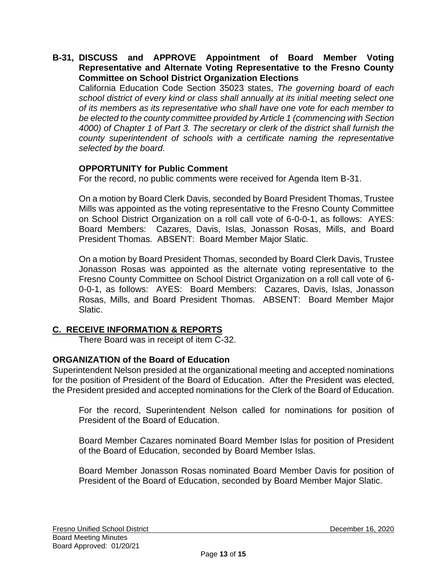#### **B-31, DISCUSS and APPROVE Appointment of Board Member Voting Representative and Alternate Voting Representative to the Fresno County Committee on School District Organization Elections**

California Education Code Section 35023 states, *The governing board of each school district of every kind or class shall annually at its initial meeting select one of its members as its representative who shall have one vote for each member to be elected to the county committee provided by Article 1 (commencing with Section 4000) of Chapter 1 of Part 3. The secretary or clerk of the district shall furnish the county superintendent of schools with a certificate naming the representative selected by the board.*

### **OPPORTUNITY for Public Comment**

For the record, no public comments were received for Agenda Item B-31.

On a motion by Board Clerk Davis, seconded by Board President Thomas, Trustee Mills was appointed as the voting representative to the Fresno County Committee on School District Organization on a roll call vote of 6-0-0-1, as follows: AYES: Board Members: Cazares, Davis, Islas, Jonasson Rosas, Mills, and Board President Thomas. ABSENT: Board Member Major Slatic.

On a motion by Board President Thomas, seconded by Board Clerk Davis, Trustee Jonasson Rosas was appointed as the alternate voting representative to the Fresno County Committee on School District Organization on a roll call vote of 6- 0-0-1, as follows: AYES: Board Members: Cazares, Davis, Islas, Jonasson Rosas, Mills, and Board President Thomas. ABSENT: Board Member Major Slatic.

### **C. RECEIVE INFORMATION & REPORTS**

There Board was in receipt of item C-32.

### **ORGANIZATION of the Board of Education**

Superintendent Nelson presided at the organizational meeting and accepted nominations for the position of President of the Board of Education. After the President was elected, the President presided and accepted nominations for the Clerk of the Board of Education.

For the record, Superintendent Nelson called for nominations for position of President of the Board of Education.

Board Member Cazares nominated Board Member Islas for position of President of the Board of Education, seconded by Board Member Islas.

Board Member Jonasson Rosas nominated Board Member Davis for position of President of the Board of Education, seconded by Board Member Major Slatic.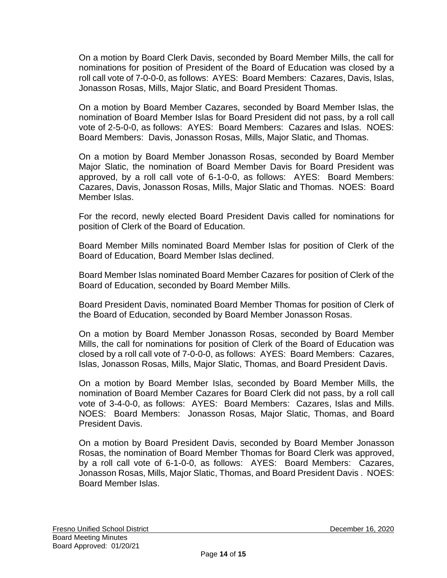On a motion by Board Clerk Davis, seconded by Board Member Mills, the call for nominations for position of President of the Board of Education was closed by a roll call vote of 7-0-0-0, as follows: AYES: Board Members: Cazares, Davis, Islas, Jonasson Rosas, Mills, Major Slatic, and Board President Thomas.

On a motion by Board Member Cazares, seconded by Board Member Islas, the nomination of Board Member Islas for Board President did not pass, by a roll call vote of 2-5-0-0, as follows: AYES: Board Members: Cazares and Islas. NOES: Board Members: Davis, Jonasson Rosas, Mills, Major Slatic, and Thomas.

On a motion by Board Member Jonasson Rosas, seconded by Board Member Major Slatic, the nomination of Board Member Davis for Board President was approved, by a roll call vote of 6-1-0-0, as follows: AYES: Board Members: Cazares, Davis, Jonasson Rosas, Mills, Major Slatic and Thomas. NOES: Board Member Islas.

For the record, newly elected Board President Davis called for nominations for position of Clerk of the Board of Education.

Board Member Mills nominated Board Member Islas for position of Clerk of the Board of Education, Board Member Islas declined.

Board Member Islas nominated Board Member Cazares for position of Clerk of the Board of Education, seconded by Board Member Mills.

Board President Davis, nominated Board Member Thomas for position of Clerk of the Board of Education, seconded by Board Member Jonasson Rosas.

On a motion by Board Member Jonasson Rosas, seconded by Board Member Mills, the call for nominations for position of Clerk of the Board of Education was closed by a roll call vote of 7-0-0-0, as follows: AYES: Board Members: Cazares, Islas, Jonasson Rosas, Mills, Major Slatic, Thomas, and Board President Davis.

On a motion by Board Member Islas, seconded by Board Member Mills, the nomination of Board Member Cazares for Board Clerk did not pass, by a roll call vote of 3-4-0-0, as follows: AYES: Board Members: Cazares, Islas and Mills. NOES: Board Members: Jonasson Rosas, Major Slatic, Thomas, and Board President Davis.

On a motion by Board President Davis, seconded by Board Member Jonasson Rosas, the nomination of Board Member Thomas for Board Clerk was approved, by a roll call vote of 6-1-0-0, as follows: AYES: Board Members: Cazares, Jonasson Rosas, Mills, Major Slatic, Thomas, and Board President Davis . NOES: Board Member Islas.